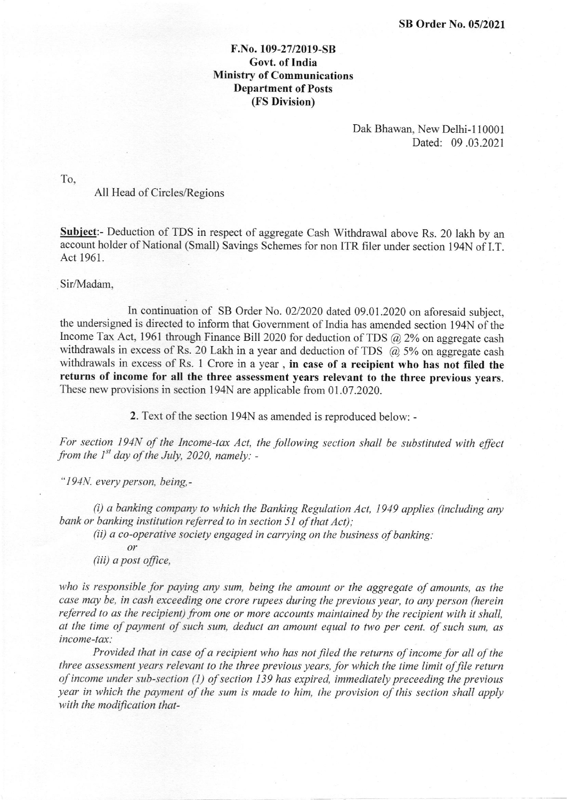## F.No. 109-27/2019-SB Govt. of India Ministry of Communications Department of Posts (FS Division)

Dak Bhawan, New Delhi-l 10001 Dated: 09 .03.2021

To,

## All Head of Circles/Regions

Subject:- Deduction of TDS in respect of aggregate Cash Withdrawal above Rs. 20 lakh by an account holder of National (Small) Savings Schemes for non ITR filer under section 194N of I.T. Act 1961.

Sir/Madam,

In continuation of SB Order No. 02/2020 dated 09.01.2020 on aforesaid subject, the undersigned is directed to inform that Government of India has amended section 194N of the Income Tax Act, 1961 through Finance Bill 2020 for deduction of TDS  $\omega$ , 2% on aggregate cash withdrawals in excess of Rs. 20 Lakh in a year and deduction of TDS  $\alpha$  5% on aggregate cash withdrawals in excess of Rs. 1 Crore in a year, in case of a recipient who has not filed the returns of income for all the three assessment years relevant to the three previous years. These new provisions in section l94N are applicable from 01.07.2020.

2. Text of the section 194N as amended is reproduced below: -

For section 194N of the Income-tax Act, the following section shall be substituted with effect from the  $I^{st}$  day of the July, 2020, namely: -

" 194N. every person, being,-

 $(i)$  a banking company to which the Banking Regulation Act, 1949 applies (including any bank or banking institution referred to in section 51 of that Act);

 $(ii)$  a co-operative society engaged in carrying on the business of banking:

ot  $(iii)$  a post office,

who is responsible for paying any sum, being the amount or the aggregate of amounts, as the case may be, in cash exceeding one crore rupees during the previous year, to any person (herein referred to as the recipient) from one or more accounts maintained by the recipient with it shall, at the time of payment of such sum, deduct an amount equal to two per cent. of such sum, as income-tax:

Provided that in case of a recipient who has not filed the returns of income for all of the three assessment years relevant to the three previous years, for which the time limit of file return of income under sub-section  $(1)$  of section 139 has expired, immediately preceeding the previous year in which the payment of the sum is made to him, the provision of this section shall apply with the modification that-